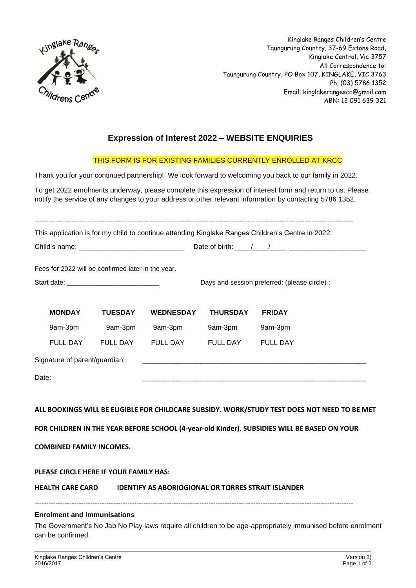

Kinglake Ranges Children's Centre Taungurung Country, 37-69 Extons Road, Kinglake Central, Vic 3757 All Correspondence to: Taungurung Country, PO Box 107, KINGLAKE, VIC 3763 Ph. (03) 5786 1352 Email: kinglakerangescc@gmail.com ABN: 12 091 639 321

# **Expression of Interest 2022 – WEBSITE ENQUIRIES**

## THIS FORM IS FOR EXISTING FAMILIES CURRENTLY ENROLLED AT KRCC

Thank you for your continued partnership! We look forward to welcoming you back to our family in 2022.

To get 2022 enrolments underway, please complete this expression of interest form and return to us. Please notify the service of any changes to your address or other relevant information by contacting 5786 1352.

----------------------------------------------------------------------------------------------------------------------------------------- This application is for my child to continue attending Kinglake Ranges Children's Centre in 2022. Child's name: \_\_\_\_\_\_\_\_\_\_\_\_\_\_\_\_\_\_\_\_\_\_\_\_\_\_\_ Date of birth: \_\_\_\_/\_\_\_\_/\_\_\_\_ \_\_\_\_\_\_\_\_\_\_\_\_\_\_\_\_\_\_\_\_ Fees for 2022 will be confirmed later in the year. Start date: \_\_\_\_\_\_\_\_\_\_\_\_\_\_\_\_\_\_\_\_\_\_\_\_\_ Days and session preferred: (please circle) : **MONDAY TUESDAY WEDNESDAY THURSDAY FRIDAY** 9am-3pm 9am-3pm 9am-3pm 9am-3pm 9am-3pm FULL DAY FULL DAY FULL DAY FULL DAY FULL DAY Signature of parent/guardian: Date: \_\_\_\_\_\_\_\_\_\_\_\_\_\_\_\_\_\_\_\_\_\_\_\_\_\_\_\_\_\_\_\_\_\_\_\_\_\_\_\_\_\_\_\_\_\_\_\_\_\_\_\_\_\_\_\_\_\_

## **ALL BOOKINGS WILL BE ELIGIBLE FOR CHILDCARE SUBSIDY. WORK/STUDY TEST DOES NOT NEED TO BE MET**

**FOR CHILDREN IN THE YEAR BEFORE SCHOOL (4-year-old Kinder). SUBSIDIES WILL BE BASED ON YOUR** 

**COMBINED FAMILY INCOMES.** 

#### **PLEASE CIRCLE HERE IF YOUR FAMILY HAS:**

**HEALTH CARE CARD IDENTIFY AS ABORIOGIONAL OR TORRES STRAIT ISLANDER**

-----------------------------------------------------------------------------------------------------------------------------------------

#### **Enrolment and immunisations**

The Government's No Jab No Play laws require all children to be age-appropriately immunised before enrolment can be confirmed.